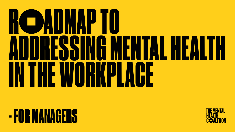# **ROADMAPTO** IN THE WORKPLACE

### **- FOR MANAGERS**





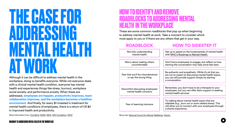# **THE CASE FOR ADDRESSING MENTAL HEALTH AT WORK**

#### ROADMAP TO ADDRESSING MENTAL HEALTH IN THE WORKPLACE

Although it can be difficult to address mental health in the workplace, doing so benefits everyone. While not everyone deals with a clinical mental health condition, everyone has mental health and experiences things like stress, burnout, workplace social anxiety, and performance anxiety. When these are addressed, **employees are happier, productivity improves, team collaboration improves, and the workplace becomes a healthier environment.** And finally, for every \$1 invested in treatment for mental health conditions of employees, there is a return of US \$4 in improved health and productivity.

More information from: [One Mind,](https://onemindatwork.org/at-work/serious-depression-calculator/) [NAMI](https://www.nami.org/Get-Involved/Pledge-to-Be-StigmaFree/StigmaFree-Company), [MHA](https://mhanational.org/mind-workplace), [APA Foundation,](https://apafdn.org/impact/workplace/center-for-workplace-mental-health) [WHO](https://www.who.int/teams/mental-health-and-substance-use/promotion-prevention/mental-health-in-the-workplace) More info: [National Council for Mental Wellbeing,](https://www.mentalhealthfirstaid.org/2019/03/how-employers-can-help-manage-anxiety-in-the-workplace/) Vibrant

### **HOW TO IDENTIFY AND REMOVE ROADBLOCKS TO ADDRESSING MENTAL HEALTH IN THE WORKPLACE**

These are some common roadblocks that pop up when beginning to address mental health at work. Take a moment to consider which most apply to you or if there are any others that get in your way.

#### ROADBLOCK HOW TO SIDESTEP IT Not fully understanding mental health Get up to speed on the fundamentals of mental health with [MHC's Roadmap to Mental Health.](https://www.thementalhealthcoalition.org/mhcs-roadmap-to-mental-health/)

Worry about making others uncomfortable





starting the conversation may help some feel seen.

Fear that you'll be misunderstood or say the wrong thing

Be authentic and empathetic. While it's ok that you are not an expert at discussing mental health topics, you can still provide support simply by starting a conversation.

Discomfort discussing employees' mental health concerns

Remember, you don't have to be a therapist to your employees, but you can offer them support in seeking mental health services.

Fear of seeming insincere

Try talking about mental health topics that are relatable (e.g., burn out or work related stress). This will allow you to connect with your employees through a shared experience.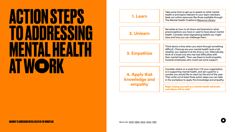



# **ACTION STEPS<br>TO ADDRESSIN TO ADDRESSING MENTAL HEALTH AT W RK**

| Take some time to get up to speed on what mental<br>health is and topics relevant to your team members.<br>Seek out online resources like those available through<br>The Mental Health Coalition's Resource Library.                                                                                                                      |
|-------------------------------------------------------------------------------------------------------------------------------------------------------------------------------------------------------------------------------------------------------------------------------------------------------------------------------------------|
| Set aside an hour to sit down and brainstorm what                                                                                                                                                                                                                                                                                         |
| preconceptions you have or used to have about mental<br>health. Consider what stigmatizing beliefs you might<br>have and how you can challenge them.                                                                                                                                                                                      |
|                                                                                                                                                                                                                                                                                                                                           |
| Think about a time when you went through something<br>difficult. Chances are your mental health took a toll,<br>whether you realized it at the time or not. Alternatively,<br>think of a loved one who has had difficulties with<br>their mental health. Then use these to build empathy<br>towards employees who could use some support. |
|                                                                                                                                                                                                                                                                                                                                           |
| Consider where on a scale from 1-10 your organization<br>is in supporting mental health, and set a goal for a<br>number you would like to reach by the end of the year.<br>Then write out at least three action steps you can take<br>in the workplace to apply this knowledge and empathy.                                               |
| Begin seeing yourself as a mental health advocate<br>and others will as well.                                                                                                                                                                                                                                                             |
|                                                                                                                                                                                                                                                                                                                                           |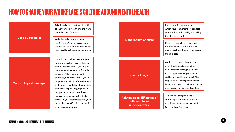Walk the walk: demonstrate a healthy work/life balance; practice self-care so that your teammates feel comfortable following your example.

Talk the talk: get comfortable talking about your own health and the ways you take care of yourself.

#### **Lead by example:**

#### **Own up to past missteps:**

#### **Don't require or push:**

#### **Clarify things:**

**Acknowledge difficulties of both remote and in-person work:**

If you haven't helped create space for mental health in the workplace before, address that. If you've ever made an employee uncomfortable because of their mental health struggles, name that. And if you've dropped the ball on offering benefits that support mental wellbeing, state that. Most importantly, if you can be open about why these things happened, you can start to build trust with your teammates that you'll be putting real effort into supporting them moving forward.

Provide a safe environment in which your team members can feel comfortable both sharing and asking for what they need.

Refrain from making it mandatory for employees to talk about their mental health (this would just defeat the purpose).

This can be a stepping stone to addressing mental health, since both remote and in-person work can take a toll for different reasons.



### **HOW TO CHANGE YOUR WORKPLACE'S CULTURE AROUND MENTAL HEALTH**

A shift in company culture around mental health can be surprising. Remedy this by making it clear why this is happening (to support them and foster a healthy workforce). Also emphasize that sharing about mental health won't result in punitive action but rather supportive services if wanted.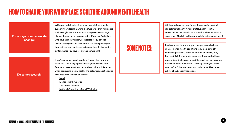#### **Encourage company-wide change:**



While your individual actions are extremely important in supporting wellbeing at work, a culture-wide shift will require a wider-angle lens. Look for ways that you can encourage change throughout your organization. If you can find others who have a similar mission, collaborate. If you can get leadership on your side, even better. The more people you have actively working to support mental health at work, the better chance you have for a broad culture shift.



**[The Action Alliance](https://theactionalliance.org/communities/workplace)** [National Council for Mental Wellbeing](https://www.mentalhealthfirstaid.org/2019/02/four-ways-employers-can-improve-mental-health-in-the-workplace/)

Be clear about how you support employees who have clinical mental health conditions (e.g., paid time off, counseling services, stress relief tools or spaces, etc.). Provide this information to every employee and with an inviting tone that suggests that there will not be judgment if these benefits are utilized. This way employees don't need to "out" themselves or worry about backlash when asking about accommodations.





### **HOW TO CHANGE YOUR WORKPLACE'S CULTURE AROUND MENTAL HEALTH**

While you should not require employees to disclose their clinical mental health history or status, plan to initiate conversations that contribute to a work environment that is supportive of holistic wellbeing, which includes mental health.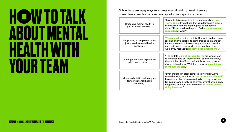



While there are many ways to address mental health at work, here are some clear examples that can be adapted to your specific situation.

Broaching mental health in performance reviews… "I want to take some time to touch base about **how you're doing.** I've noticed that you don't seem exactly like yourself. Is there anything you're concerned about? How could we help you feel **more at ease and supported** at work?" Supporting an employee who's just shared a mental health concern… "**Thank you** for telling me this, I know it can feel nerveracking and vulnerable to bring this up to a manager. Please know that this won't jeopardize your position and that I want to support you as best I can. How would you feel about **[specific accommodations]**?" Sharing a personal experience with mental health… "The telltale **signs of burnout for me** are when I start to procrastinate or I feel cranky or cynical more days than not. It's okay if you notice this too, and you can always let me know. We'll find a way to **make things more manageable.**" Modeling holistic wellbeing and fostering mental health day to day… "Even though I'm often tempted to work 24/7, I've started making an effort to **take better care of myself**. I went for a hike this weekend to boost my mood, and I'm going to stop replying to emails over the weekend. I hope you and our team know that I'd **love to see you doing the same**."

## **H W TO TALK ABOUT MENTAL HEALTH WITH YOUR TEAM**